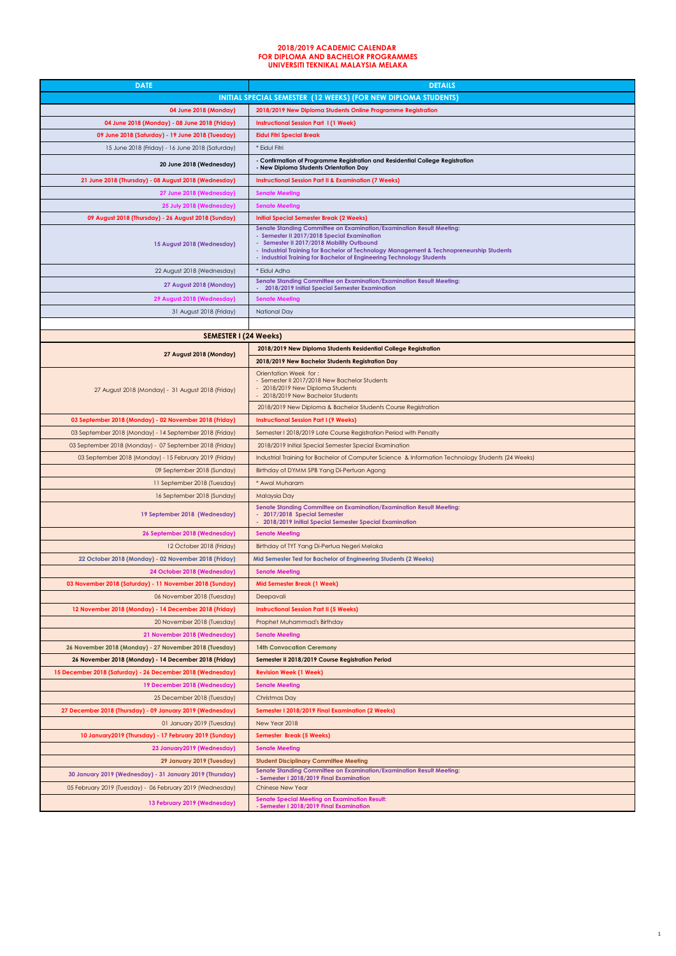| <b>DATE</b>                                                 | <b>DETAILS</b>                                                                                                                                                                                                                                                                                                                        |
|-------------------------------------------------------------|---------------------------------------------------------------------------------------------------------------------------------------------------------------------------------------------------------------------------------------------------------------------------------------------------------------------------------------|
|                                                             | INITIAL SPECIAL SEMESTER (12 WEEKS) (FOR NEW DIPLOMA STUDENTS)                                                                                                                                                                                                                                                                        |
| 04 June 2018 (Monday)                                       | 2018/2019 New Diploma Students Online Programme Registration                                                                                                                                                                                                                                                                          |
| 04 June 2018 (Monday) - 08 June 2018 (Friday)               | <b>Instructional Session Part 1(1 Week)</b>                                                                                                                                                                                                                                                                                           |
| 09 June 2018 (Saturday) - 19 June 2018 (Tuesday)            | <b>Eidul Fitri Special Break</b>                                                                                                                                                                                                                                                                                                      |
| 15 June 2018 (Friday) - 16 June 2018 (Saturday)             | * Eidul Fitri                                                                                                                                                                                                                                                                                                                         |
| 20 June 2018 (Wednesday)                                    | - Confirmation of Programme Registration and Residential College Registration<br>- New Diploma Students Orientation Day                                                                                                                                                                                                               |
| 21 June 2018 (Thursday) - 08 August 2018 (Wednesday)        | <b>Instructional Session Part II &amp; Examination (7 Weeks)</b>                                                                                                                                                                                                                                                                      |
| 27 June 2018 (Wednesday)                                    | <b>Senate Meeting</b>                                                                                                                                                                                                                                                                                                                 |
| 25 July 2018 (Wednesday)                                    | <b>Senate Meeting</b>                                                                                                                                                                                                                                                                                                                 |
| 09 August 2018 (Thursday) - 26 August 2018 (Sunday)         | <b>Initial Special Semester Break (2 Weeks)</b>                                                                                                                                                                                                                                                                                       |
| 15 August 2018 (Wednesday)                                  | Senate Standing Committee on Examination/Examination Result Meeting:<br>- Semester II 2017/2018 Special Examination<br>- Semester II 2017/2018 Mobility Outbound<br>- Industrial Training for Bachelor of Technology Management & Technopreneurship Students<br>- Industrial Training for Bachelor of Engineering Technology Students |
| 22 August 2018 (Wednesday)                                  | * Eidul Adha                                                                                                                                                                                                                                                                                                                          |
| 27 August 2018 (Monday)                                     | Senate Standing Committee on Examination/Examination Result Meeting:<br>2018/2019 Initial Special Semester Examination                                                                                                                                                                                                                |
| 29 August 2018 (Wednesday)                                  | <b>Senate Meeting</b>                                                                                                                                                                                                                                                                                                                 |
| 31 August 2018 (Friday)                                     | National Day                                                                                                                                                                                                                                                                                                                          |
|                                                             |                                                                                                                                                                                                                                                                                                                                       |
| <b>SEMESTER I (24 Weeks)</b>                                |                                                                                                                                                                                                                                                                                                                                       |
|                                                             | 2018/2019 New Diploma Students Residential College Registration                                                                                                                                                                                                                                                                       |
| 27 August 2018 (Monday)                                     | 2018/2019 New Bachelor Students Registration Day                                                                                                                                                                                                                                                                                      |
| 27 August 2018 (Monday) - 31 August 2018 (Friday)           | Orientation Week for:<br>- Semester II 2017/2018 New Bachelor Students<br>- 2018/2019 New Diploma Students<br>2018/2019 New Bachelor Students<br>2018/2019 New Diploma & Bachelor Students Course Registration                                                                                                                        |
|                                                             |                                                                                                                                                                                                                                                                                                                                       |
| 03 September 2018 (Monday) - 02 November 2018 (Friday)      | <b>Instructional Session Part I (9 Weeks)</b>                                                                                                                                                                                                                                                                                         |
| 03 September 2018 (Monday) - 14 September 2018 (Friday)     | Semester I 2018/2019 Late Course Registration Period with Penalty                                                                                                                                                                                                                                                                     |
| 03 September 2018 (Monday) - 07 September 2018 (Friday)     | 2018/2019 Initial Special Semester Special Examination                                                                                                                                                                                                                                                                                |
| 03 September 2018 (Monday) - 15 February 2019 (Friday)      | Industrial Training for Bachelor of Computer Science & Information Technology Students (24 Weeks)                                                                                                                                                                                                                                     |
| 09 September 2018 (Sunday)                                  | Birthday of DYMM SPB Yang Di-Pertuan Agong                                                                                                                                                                                                                                                                                            |
| 11 September 2018 (Tuesday)                                 | * Awal Muharam                                                                                                                                                                                                                                                                                                                        |
| 16 September 2018 (Sunday)<br>19 September 2018 (Wednesday) | <b>Malaysia Day</b><br>Senate Standing Committee on Examination/Examination Result Meeting:<br>- 2017/2018 Special Semester<br>- 2018/2019 Initial Special Semester Special Examination                                                                                                                                               |
| 26 September 2018 (Wednesday)                               | <b>Senate Meeting</b>                                                                                                                                                                                                                                                                                                                 |
| 12 October 2018 (Friday)                                    | Birthday of TYT Yang Di-Pertua Negeri Melaka                                                                                                                                                                                                                                                                                          |
| 22 October 2018 (Monday) - 02 November 2018 (Friday)        | Mid Semester Test for Bachelor of Engineering Students (2 Weeks)                                                                                                                                                                                                                                                                      |
| 24 October 2018 (Wednesday)                                 | <b>Senate Meeting</b>                                                                                                                                                                                                                                                                                                                 |
| 03 November 2018 (Saturday) - 11 November 2018 (Sunday)     | <b>Mid Semester Break (1 Week)</b>                                                                                                                                                                                                                                                                                                    |
| 06 November 2018 (Tuesday)                                  | Deepavali                                                                                                                                                                                                                                                                                                                             |
| 12 November 2018 (Monday) - 14 December 2018 (Friday)       | <b>Instructional Session Part II (5 Weeks)</b>                                                                                                                                                                                                                                                                                        |
| 20 November 2018 (Tuesday)                                  | Prophet Muhammad's Birthday                                                                                                                                                                                                                                                                                                           |
| 21 November 2018 (Wednesday)                                | <b>Senate Meeting</b>                                                                                                                                                                                                                                                                                                                 |
| 26 November 2018 (Monday) - 27 November 2018 (Tuesday)      | <b>14th Convocation Ceremony</b>                                                                                                                                                                                                                                                                                                      |
| 26 November 2018 (Monday) - 14 December 2018 (Friday)       | Semester II 2018/2019 Course Registration Period                                                                                                                                                                                                                                                                                      |
| 15 December 2018 (Saturday) - 26 December 2018 (Wednesday)  | <b>Revision Week (1 Week)</b>                                                                                                                                                                                                                                                                                                         |
| 19 December 2018 (Wednesday)                                | <b>Senate Meeting</b>                                                                                                                                                                                                                                                                                                                 |
| 25 December 2018 (Tuesday)                                  | Christmas Day                                                                                                                                                                                                                                                                                                                         |
| 27 December 2018 (Thursday) - 09 January 2019 (Wednesday)   | Semester I 2018/2019 Final Examination (2 Weeks)                                                                                                                                                                                                                                                                                      |
| 01 January 2019 (Tuesday)                                   | New Year 2018                                                                                                                                                                                                                                                                                                                         |
| 10 January2019 (Thursday) - 17 February 2019 (Sunday)       | Semester Break (5 Weeks)                                                                                                                                                                                                                                                                                                              |
| 23 January 2019 (Wednesday)                                 | <b>Senate Meeting</b>                                                                                                                                                                                                                                                                                                                 |
| 29 January 2019 (Tuesday)                                   | <b>Student Disciplinary Committee Meeting</b>                                                                                                                                                                                                                                                                                         |
| 30 January 2019 (Wednesday) - 31 January 2019 (Thursday)    | Senate Standing Committee on Examination/Examination Result Meeting:<br>- Semester I 2018/2019 Final Examination                                                                                                                                                                                                                      |
| 05 February 2019 (Tuesday) - 06 February 2019 (Wednesday)   | <b>Chinese New Year</b>                                                                                                                                                                                                                                                                                                               |
| 13 February 2019 (Wednesday)                                | <b>Senate Special Meeting on Examination Result:</b><br>- Semester I 2018/2019 Final Examination                                                                                                                                                                                                                                      |

## **UNIVERSITI TEKNIKAL MALAYSIA MELAKA 2018/2019 ACADEMIC CALENDAR FOR DIPLOMA AND BACHELOR PROGRAMMES**